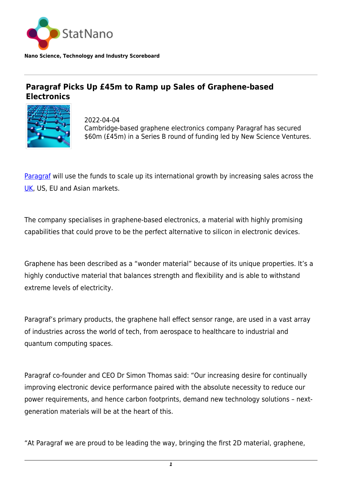

**Nano Science, Technology and Industry Scoreboard**

## **Paragraf Picks Up £45m to Ramp up Sales of Graphene-based Electronics**



2022-04-04 Cambridge-based graphene electronics company Paragraf has secured \$60m (£45m) in a Series B round of funding led by New Science Ventures.

[Paragraf](https://www.paragraf.com/) will use the funds to scale up its international growth by increasing sales across the [UK,](http://statnano.com/country/UK) US, EU and Asian markets.

The company specialises in graphene-based electronics, a material with highly promising capabilities that could prove to be the perfect alternative to silicon in electronic devices.

Graphene has been described as a "wonder material" because of its unique properties. It's a highly conductive material that balances strength and flexibility and is able to withstand extreme levels of electricity.

Paragraf's primary products, the graphene hall effect sensor range, are used in a vast array of industries across the world of tech, from aerospace to healthcare to industrial and quantum computing spaces.

Paragraf co-founder and CEO Dr Simon Thomas said: "Our increasing desire for continually improving electronic device performance paired with the absolute necessity to reduce our power requirements, and hence carbon footprints, demand new technology solutions – nextgeneration materials will be at the heart of this.

"At Paragraf we are proud to be leading the way, bringing the first 2D material, graphene,